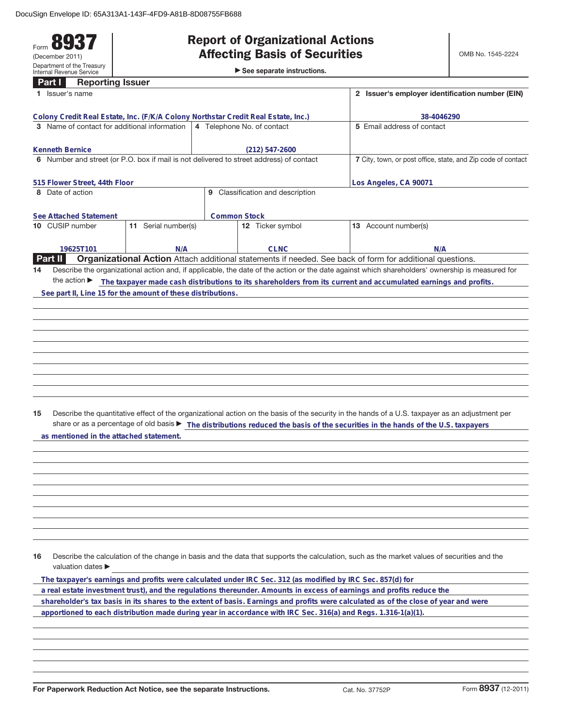## Form **8937** (December 2011) Department of the Treasury Internal Revenue Service **Part I Reporting Issuer**

## **Report of Organizational Actions**

►<br>► See separate instructions.

| 1 Issuer's name                                                                                                                  |                     | 2 Issuer's employer identification number (EIN) |                                                                                                               |  |                                                                                                                                                 |  |
|----------------------------------------------------------------------------------------------------------------------------------|---------------------|-------------------------------------------------|---------------------------------------------------------------------------------------------------------------|--|-------------------------------------------------------------------------------------------------------------------------------------------------|--|
|                                                                                                                                  |                     |                                                 |                                                                                                               |  |                                                                                                                                                 |  |
| Colony Credit Real Estate, Inc. (F/K/A Colony Northstar Credit Real Estate, Inc.)                                                |                     |                                                 | 38-4046290                                                                                                    |  |                                                                                                                                                 |  |
| 3 Name of contact for additional information                                                                                     |                     |                                                 | 4 Telephone No. of contact                                                                                    |  | 5 Email address of contact                                                                                                                      |  |
|                                                                                                                                  |                     |                                                 |                                                                                                               |  |                                                                                                                                                 |  |
| Kenneth Bernice<br>$(212) 547 - 2600$<br>6 Number and street (or P.O. box if mail is not delivered to street address) of contact |                     |                                                 |                                                                                                               |  | 7 City, town, or post office, state, and Zip code of contact                                                                                    |  |
|                                                                                                                                  |                     |                                                 |                                                                                                               |  |                                                                                                                                                 |  |
| 515 Flower Street, 44th Floor                                                                                                    |                     |                                                 | Los Angeles, CA 90071                                                                                         |  |                                                                                                                                                 |  |
| 9 Classification and description<br>8 Date of action                                                                             |                     |                                                 |                                                                                                               |  |                                                                                                                                                 |  |
|                                                                                                                                  |                     |                                                 |                                                                                                               |  |                                                                                                                                                 |  |
| See Attached Statement                                                                                                           |                     |                                                 | <b>Common Stock</b>                                                                                           |  |                                                                                                                                                 |  |
| 10 CUSIP number                                                                                                                  | 11 Serial number(s) |                                                 | 12 Ticker symbol                                                                                              |  | 13 Account number(s)                                                                                                                            |  |
|                                                                                                                                  |                     |                                                 |                                                                                                               |  |                                                                                                                                                 |  |
| 19625T101                                                                                                                        | N/A                 |                                                 | <b>CLNC</b>                                                                                                   |  | N/A                                                                                                                                             |  |
| Part II                                                                                                                          |                     |                                                 |                                                                                                               |  | Organizational Action Attach additional statements if needed. See back of form for additional questions.                                        |  |
| 14<br>the action $\blacktriangleright$                                                                                           |                     |                                                 |                                                                                                               |  | Describe the organizational action and, if applicable, the date of the action or the date against which shareholders' ownership is measured for |  |
|                                                                                                                                  |                     |                                                 |                                                                                                               |  | The taxpayer made cash distributions to its shareholders from its current and accumulated earnings and profits.                                 |  |
| See part II, Line 15 for the amount of these distributions.                                                                      |                     |                                                 |                                                                                                               |  |                                                                                                                                                 |  |
|                                                                                                                                  |                     |                                                 |                                                                                                               |  |                                                                                                                                                 |  |
|                                                                                                                                  |                     |                                                 |                                                                                                               |  |                                                                                                                                                 |  |
|                                                                                                                                  |                     |                                                 |                                                                                                               |  |                                                                                                                                                 |  |
|                                                                                                                                  |                     |                                                 |                                                                                                               |  |                                                                                                                                                 |  |
|                                                                                                                                  |                     |                                                 |                                                                                                               |  |                                                                                                                                                 |  |
|                                                                                                                                  |                     |                                                 |                                                                                                               |  |                                                                                                                                                 |  |
|                                                                                                                                  |                     |                                                 |                                                                                                               |  |                                                                                                                                                 |  |
|                                                                                                                                  |                     |                                                 |                                                                                                               |  |                                                                                                                                                 |  |
|                                                                                                                                  |                     |                                                 |                                                                                                               |  |                                                                                                                                                 |  |
| 15                                                                                                                               |                     |                                                 |                                                                                                               |  | Describe the quantitative effect of the organizational action on the basis of the security in the hands of a U.S. taxpayer as an adjustment per |  |
|                                                                                                                                  |                     |                                                 |                                                                                                               |  | share or as a percentage of old basis > The distributions reduced the basis of the securities in the hands of the U.S. taxpayers                |  |
| as mentioned in the attached statement.                                                                                          |                     |                                                 |                                                                                                               |  |                                                                                                                                                 |  |
|                                                                                                                                  |                     |                                                 |                                                                                                               |  |                                                                                                                                                 |  |
|                                                                                                                                  |                     |                                                 |                                                                                                               |  |                                                                                                                                                 |  |
|                                                                                                                                  |                     |                                                 |                                                                                                               |  |                                                                                                                                                 |  |
|                                                                                                                                  |                     |                                                 |                                                                                                               |  |                                                                                                                                                 |  |
|                                                                                                                                  |                     |                                                 |                                                                                                               |  |                                                                                                                                                 |  |
|                                                                                                                                  |                     |                                                 |                                                                                                               |  |                                                                                                                                                 |  |
|                                                                                                                                  |                     |                                                 |                                                                                                               |  |                                                                                                                                                 |  |
|                                                                                                                                  |                     |                                                 |                                                                                                               |  |                                                                                                                                                 |  |
|                                                                                                                                  |                     |                                                 |                                                                                                               |  |                                                                                                                                                 |  |
| 16                                                                                                                               |                     |                                                 |                                                                                                               |  | Describe the calculation of the change in basis and the data that supports the calculation, such as the market values of securities and the     |  |
| valuation dates ▶                                                                                                                |                     |                                                 |                                                                                                               |  |                                                                                                                                                 |  |
|                                                                                                                                  |                     |                                                 | The taxpayer's earnings and profits were calculated under IRC Sec. 312 (as modified by IRC Sec. 857(d) for    |  |                                                                                                                                                 |  |
|                                                                                                                                  |                     |                                                 |                                                                                                               |  | a real estate investment trust), and the regulations thereunder. Amounts in excess of earnings and profits reduce the                           |  |
|                                                                                                                                  |                     |                                                 |                                                                                                               |  | shareholder's tax basis in its shares to the extent of basis. Earnings and profits were calculated as of the close of year and were             |  |
|                                                                                                                                  |                     |                                                 | apportioned to each distribution made during year in accordance with IRC Sec. 316(a) and Regs. 1.316-1(a)(1). |  |                                                                                                                                                 |  |
|                                                                                                                                  |                     |                                                 |                                                                                                               |  |                                                                                                                                                 |  |
|                                                                                                                                  |                     |                                                 |                                                                                                               |  |                                                                                                                                                 |  |
|                                                                                                                                  |                     |                                                 |                                                                                                               |  |                                                                                                                                                 |  |
|                                                                                                                                  |                     |                                                 |                                                                                                               |  |                                                                                                                                                 |  |
|                                                                                                                                  |                     |                                                 |                                                                                                               |  |                                                                                                                                                 |  |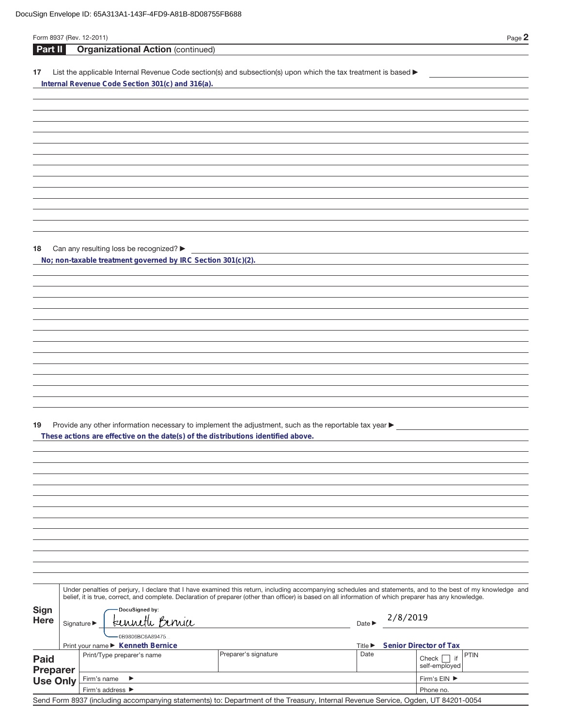| Form 8937 (Rev. 12-2011)       |                                                |                                                              |                                                                                                                                                                                             |  |                             |          | Page 2                                                                                                                                                       |
|--------------------------------|------------------------------------------------|--------------------------------------------------------------|---------------------------------------------------------------------------------------------------------------------------------------------------------------------------------------------|--|-----------------------------|----------|--------------------------------------------------------------------------------------------------------------------------------------------------------------|
| Part II                        |                                                | <b>Organizational Action (continued)</b>                     |                                                                                                                                                                                             |  |                             |          |                                                                                                                                                              |
| 17                             |                                                | Internal Revenue Code Section 301(c) and 316(a).             | List the applicable Internal Revenue Code section(s) and subsection(s) upon which the tax treatment is based ▶                                                                              |  |                             |          |                                                                                                                                                              |
|                                |                                                |                                                              |                                                                                                                                                                                             |  |                             |          |                                                                                                                                                              |
|                                |                                                |                                                              |                                                                                                                                                                                             |  |                             |          |                                                                                                                                                              |
|                                |                                                |                                                              |                                                                                                                                                                                             |  |                             |          |                                                                                                                                                              |
|                                |                                                |                                                              |                                                                                                                                                                                             |  |                             |          |                                                                                                                                                              |
|                                |                                                |                                                              |                                                                                                                                                                                             |  |                             |          |                                                                                                                                                              |
| 18                             |                                                | Can any resulting loss be recognized?                        |                                                                                                                                                                                             |  |                             |          |                                                                                                                                                              |
|                                |                                                | No; non-taxable treatment governed by IRC Section 301(c)(2). |                                                                                                                                                                                             |  |                             |          |                                                                                                                                                              |
|                                |                                                |                                                              |                                                                                                                                                                                             |  |                             |          |                                                                                                                                                              |
|                                |                                                |                                                              |                                                                                                                                                                                             |  |                             |          |                                                                                                                                                              |
|                                |                                                |                                                              |                                                                                                                                                                                             |  |                             |          |                                                                                                                                                              |
|                                |                                                |                                                              |                                                                                                                                                                                             |  |                             |          |                                                                                                                                                              |
|                                |                                                |                                                              |                                                                                                                                                                                             |  |                             |          |                                                                                                                                                              |
| 19                             |                                                |                                                              | Provide any other information necessary to implement the adjustment, such as the reportable tax year ▶<br>These actions are effective on the date(s) of the distributions identified above. |  |                             |          |                                                                                                                                                              |
|                                |                                                |                                                              |                                                                                                                                                                                             |  |                             |          |                                                                                                                                                              |
|                                |                                                |                                                              |                                                                                                                                                                                             |  |                             |          |                                                                                                                                                              |
|                                |                                                |                                                              |                                                                                                                                                                                             |  |                             |          |                                                                                                                                                              |
|                                |                                                |                                                              |                                                                                                                                                                                             |  |                             |          |                                                                                                                                                              |
|                                |                                                |                                                              |                                                                                                                                                                                             |  |                             |          |                                                                                                                                                              |
|                                |                                                |                                                              | belief, it is true, correct, and complete. Declaration of preparer (other than officer) is based on all information of which preparer has any knowledge.                                    |  |                             |          | Under penalties of perjury, I declare that I have examined this return, including accompanying schedules and statements, and to the best of my knowledge and |
| Sign<br><b>Here</b>            | DocuSigned by:<br>kenneth Benia<br>Signature ▶ |                                                              |                                                                                                                                                                                             |  |                             | 2/8/2019 |                                                                                                                                                              |
|                                |                                                | 0B9806BC6A89475<br>Print your name ▶ Kenneth Bernice         |                                                                                                                                                                                             |  | Title $\blacktriangleright$ |          | Senior Director of Tax                                                                                                                                       |
| <b>Paid</b><br><b>Preparer</b> |                                                | Print/Type preparer's name                                   | Preparer's signature                                                                                                                                                                        |  | Date                        |          | <b>PTIN</b><br>Check<br>$ $ if<br>self-employed                                                                                                              |
| <b>Use Only</b>                | Firm's name                                    | ▶<br>Firm's address ▶                                        |                                                                                                                                                                                             |  |                             |          | Firm's EIN ▶<br>Phone no.                                                                                                                                    |
|                                |                                                |                                                              |                                                                                                                                                                                             |  |                             |          |                                                                                                                                                              |

Send Form 8937 (including accompanying statements) to: Department of the Treasury, Internal Revenue Service, Ogden, UT 84201-0054